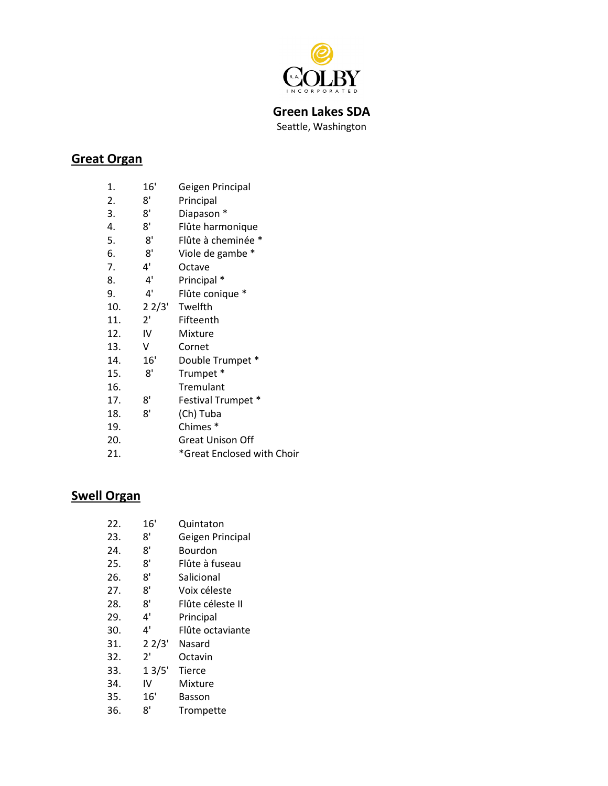

**Green Lakes SDA** Seattle, Washington

### **Great Organ**

| 1.               | 16' | Geigen Principal           |
|------------------|-----|----------------------------|
| $\overline{2}$ . | 8'  | Principal                  |
| 3.               | 8'  | Diapason *                 |
| 4.               | 8'  | Flûte harmonique           |
| 5.               | 8'  | Flûte à cheminée *         |
| 6.               | 8'  | Viole de gambe *           |
| 7.               | 4'  | Octave                     |
| 8.               | 4'  | Principal *                |
| 9.               | 4'  | Flûte conique *            |
| 10.              |     | 2 2/3' Twelfth             |
| 11.              | 2'  | Fifteenth                  |
| 12.              | IV  | Mixture                    |
| 13.              | V   | Cornet                     |
| 14.              | 16' | Double Trumpet *           |
| 15.              | 8'  | Trumpet *                  |
| 16.              |     | Tremulant                  |
| 17.              | 8'  | Festival Trumpet *         |
| 18.              | 8'  | (Ch) Tuba                  |
| 19.              |     | Chimes <sup>*</sup>        |
| 20.              |     | <b>Great Unison Off</b>    |
| 21.              |     | *Great Enclosed with Choir |

### **Swell Organ**

| 22. | 16'   | Quintaton        |
|-----|-------|------------------|
| 23. | 8'    | Geigen Principal |
| 24. | 8'    | Bourdon          |
| 25. | 8'    | Flûte à fuseau   |
| 26. | 8'    | Salicional       |
| 27. | 8'    | Voix céleste     |
| 28. | 8'    | Flûte céleste II |
| 29. | 4'    | Principal        |
| 30. | 4'    | Flûte octaviante |
| 31. | 22/3' | Nasard           |
| 32. | 2'    | Octavin          |
| 33. | 13/5' | Tierce           |
| 34. | ιv    | Mixture          |
| 35. | 16'   | Basson           |
| 36. | 8'    | Trompette        |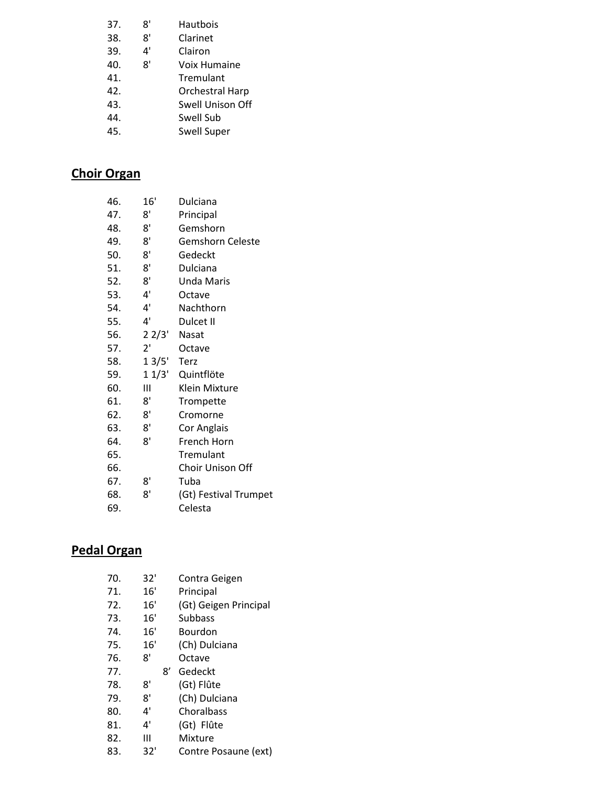| 37. | 8' | Hautbois               |
|-----|----|------------------------|
| 38. | 8' | Clarinet               |
| 39. | 4' | Clairon                |
| 40. | 8' | Voix Humaine           |
| 41. |    | Tremulant              |
| 42. |    | <b>Orchestral Harp</b> |
| 43. |    | Swell Unison Off       |
| 44. |    | Swell Sub              |
| 45. |    | Swell Super            |

# **Choir Organ**

| 46. | 16'             | Dulciana                |
|-----|-----------------|-------------------------|
| 47. | 8'              | Principal               |
| 48. | 8'              | Gemshorn                |
| 49. | 8'              | <b>Gemshorn Celeste</b> |
| 50. | 8'              | Gedeckt                 |
| 51. | 8'              | Dulciana                |
| 52. | 8'              | <b>Unda Maris</b>       |
| 53. | 4'              | Octave                  |
| 54. | 4'              | Nachthorn               |
| 55. | 4'              | Dulcet II               |
| 56. | $2 \frac{2}{3}$ | Nasat                   |
| 57. | 2'              | Octave                  |
| 58. | 13/5'           | Terz                    |
| 59. | 11/3'           | Quintflöte              |
| 60. | Ш               | Klein Mixture           |
| 61. | 8'              | Trompette               |
| 62. | 8'              | Cromorne                |
| 63. | 8'              | Cor Anglais             |
| 64. | 8'              | French Horn             |
| 65. |                 | Tremulant               |
| 66. |                 | Choir Unison Off        |
| 67. | 8'              | Tuba                    |
| 68. | 8'              | (Gt) Festival Trumpet   |
| 69. |                 | Celesta                 |
|     |                 |                         |

### **Pedal Organ**

| 70. | 32' | Contra Geigen         |
|-----|-----|-----------------------|
| 71. | 16' | Principal             |
| 72. | 16' | (Gt) Geigen Principal |
| 73. | 16' | Subbass               |
| 74. | 16' | Bourdon               |
| 75. | 16' | (Ch) Dulciana         |
| 76. | ጸ'  | Octave                |
| 77. | 8′  | Gedeckt               |
| 78. | 8'  | (Gt) Flûte            |
| 79. | 8'  | (Ch) Dulciana         |
| 80. | 4'  | Choralbass            |
| 81. | 4'  | (Gt) Flûte            |
| 82. | Ш   | Mixture               |
|     |     |                       |
| 83. | 32' | Contre Posaune (ext)  |